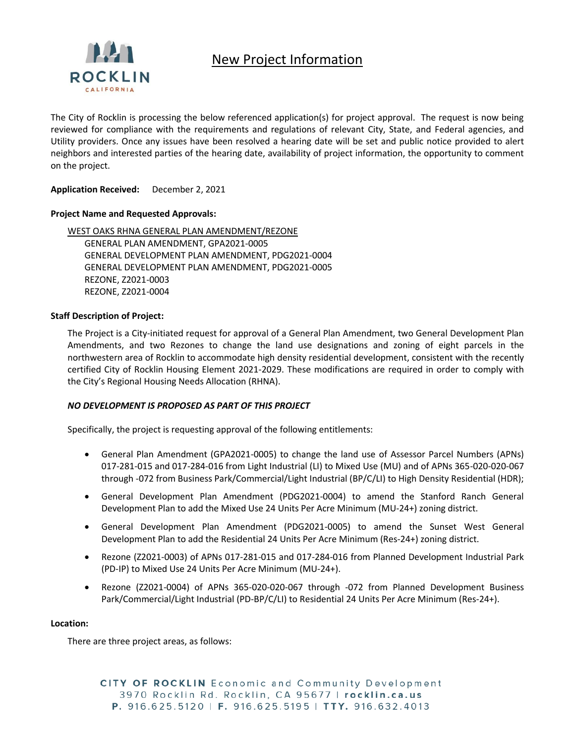

# New Project Information

The City of Rocklin is processing the below referenced application(s) for project approval. The request is now being reviewed for compliance with the requirements and regulations of relevant City, State, and Federal agencies, and Utility providers. Once any issues have been resolved a hearing date will be set and public notice provided to alert neighbors and interested parties of the hearing date, availability of project information, the opportunity to comment on the project.

**Application Received:** December 2, 2021

### **Project Name and Requested Approvals:**

WEST OAKS RHNA GENERAL PLAN AMENDMENT/REZONE GENERAL PLAN AMENDMENT, GPA2021-0005 GENERAL DEVELOPMENT PLAN AMENDMENT, PDG2021-0004 GENERAL DEVELOPMENT PLAN AMENDMENT, PDG2021-0005 REZONE, Z2021-0003 REZONE, Z2021-0004

#### **Staff Description of Project:**

The Project is a City-initiated request for approval of a General Plan Amendment, two General Development Plan Amendments, and two Rezones to change the land use designations and zoning of eight parcels in the northwestern area of Rocklin to accommodate high density residential development, consistent with the recently certified City of Rocklin Housing Element 2021-2029. These modifications are required in order to comply with the City's Regional Housing Needs Allocation (RHNA).

### *NO DEVELOPMENT IS PROPOSED AS PART OF THIS PROJECT*

Specifically, the project is requesting approval of the following entitlements:

- General Plan Amendment (GPA2021-0005) to change the land use of Assessor Parcel Numbers (APNs) 017-281-015 and 017-284-016 from Light Industrial (LI) to Mixed Use (MU) and of APNs 365-020-020-067 through -072 from Business Park/Commercial/Light Industrial (BP/C/LI) to High Density Residential (HDR);
- General Development Plan Amendment (PDG2021-0004) to amend the Stanford Ranch General Development Plan to add the Mixed Use 24 Units Per Acre Minimum (MU-24+) zoning district.
- General Development Plan Amendment (PDG2021-0005) to amend the Sunset West General Development Plan to add the Residential 24 Units Per Acre Minimum (Res-24+) zoning district.
- Rezone (Z2021-0003) of APNs 017-281-015 and 017-284-016 from Planned Development Industrial Park (PD-IP) to Mixed Use 24 Units Per Acre Minimum (MU-24+).
- Rezone (Z2021-0004) of APNs 365-020-020-067 through -072 from Planned Development Business Park/Commercial/Light Industrial (PD-BP/C/LI) to Residential 24 Units Per Acre Minimum (Res-24+).

#### **Location:**

There are three project areas, as follows:

CITY OF ROCKLIN Economic and Community Development 3970 Rocklin Rd. Rocklin, CA 95677 | rocklin.ca.us P. 916.625.5120 | F. 916.625.5195 | TTY. 916.632.4013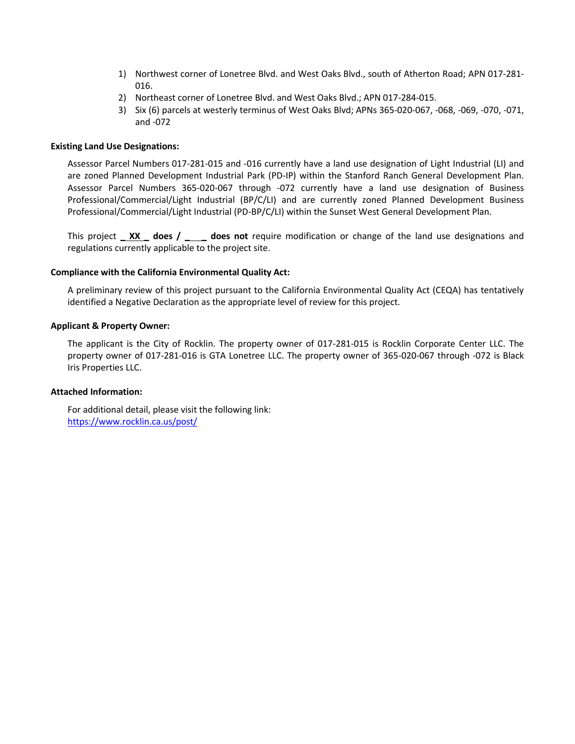- 1) Northwest corner of Lonetree Blvd. and West Oaks Blvd., south of Atherton Road; APN 017-281- 016.
- 2) Northeast corner of Lonetree Blvd. and West Oaks Blvd.; APN 017-284-015.
- 3) Six (6) parcels at westerly terminus of West Oaks Blvd; APNs 365-020-067, -068, -069, -070, -071, and -072

#### **Existing Land Use Designations:**

Assessor Parcel Numbers 017-281-015 and -016 currently have a land use designation of Light Industrial (LI) and are zoned Planned Development Industrial Park (PD-IP) within the Stanford Ranch General Development Plan. Assessor Parcel Numbers 365-020-067 through -072 currently have a land use designation of Business Professional/Commercial/Light Industrial (BP/C/LI) and are currently zoned Planned Development Business Professional/Commercial/Light Industrial (PD-BP/C/LI) within the Sunset West General Development Plan.

This project **\_ XX \_ does / \_ \_ does not** require modification or change of the land use designations and regulations currently applicable to the project site.

#### **Compliance with the California Environmental Quality Act:**

A preliminary review of this project pursuant to the California Environmental Quality Act (CEQA) has tentatively identified a Negative Declaration as the appropriate level of review for this project.

#### **Applicant & Property Owner:**

The applicant is the City of Rocklin. The property owner of 017-281-015 is Rocklin Corporate Center LLC. The property owner of 017-281-016 is GTA Lonetree LLC. The property owner of 365-020-067 through -072 is Black Iris Properties LLC.

#### **Attached Information:**

For additional detail, please visit the following link: <https://www.rocklin.ca.us/post/>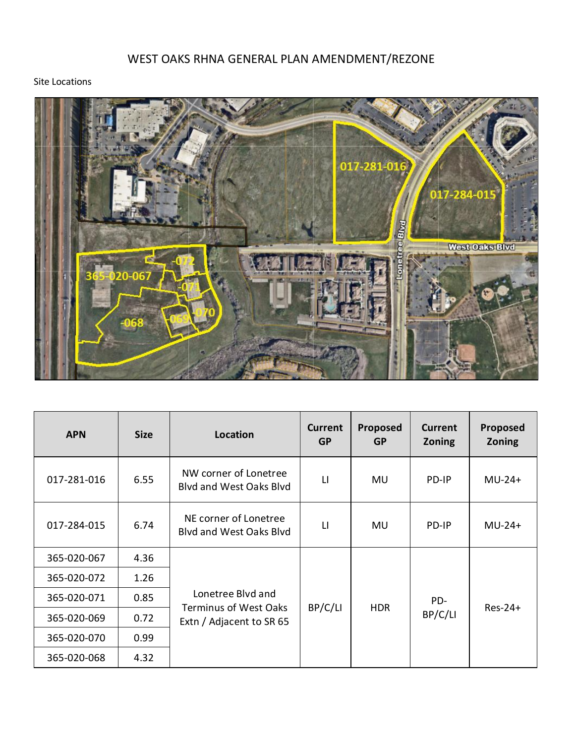# WEST OAKS RHNA GENERAL PLAN AMENDMENT/REZONE

## Site Locations



| <b>APN</b>  | <b>Size</b> | <b>Location</b>                                                               | <b>Current</b><br><b>GP</b> | Proposed<br><b>GP</b> | <b>Current</b><br><b>Zoning</b> | Proposed<br><b>Zoning</b> |
|-------------|-------------|-------------------------------------------------------------------------------|-----------------------------|-----------------------|---------------------------------|---------------------------|
| 017-281-016 | 6.55        | NW corner of Lonetree<br><b>Blyd and West Oaks Blyd</b>                       | $\mathsf{L}$                | <b>MU</b>             | PD-IP                           | $MU-24+$                  |
| 017-284-015 | 6.74        | NE corner of Lonetree<br><b>Blyd and West Oaks Blyd</b>                       | $\mathsf{L}$                | MU.                   | PD-IP                           | $MU-24+$                  |
| 365-020-067 | 4.36        | Lonetree Blyd and<br><b>Terminus of West Oaks</b><br>Extn / Adjacent to SR 65 | BP/C/LI                     | <b>HDR</b>            | PD-<br>BP/C/LI                  | $Res-24+$                 |
| 365-020-072 | 1.26        |                                                                               |                             |                       |                                 |                           |
| 365-020-071 | 0.85        |                                                                               |                             |                       |                                 |                           |
| 365-020-069 | 0.72        |                                                                               |                             |                       |                                 |                           |
| 365-020-070 | 0.99        |                                                                               |                             |                       |                                 |                           |
| 365-020-068 | 4.32        |                                                                               |                             |                       |                                 |                           |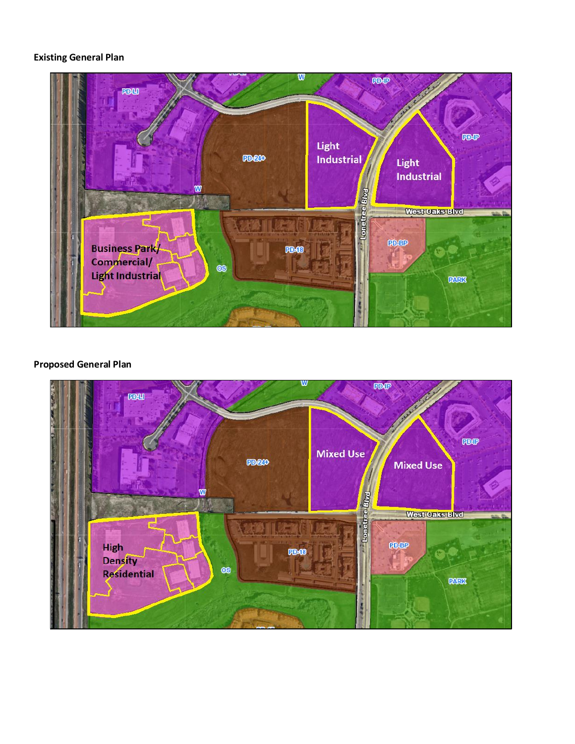## **Existing General Plan**



## **Proposed General Plan**